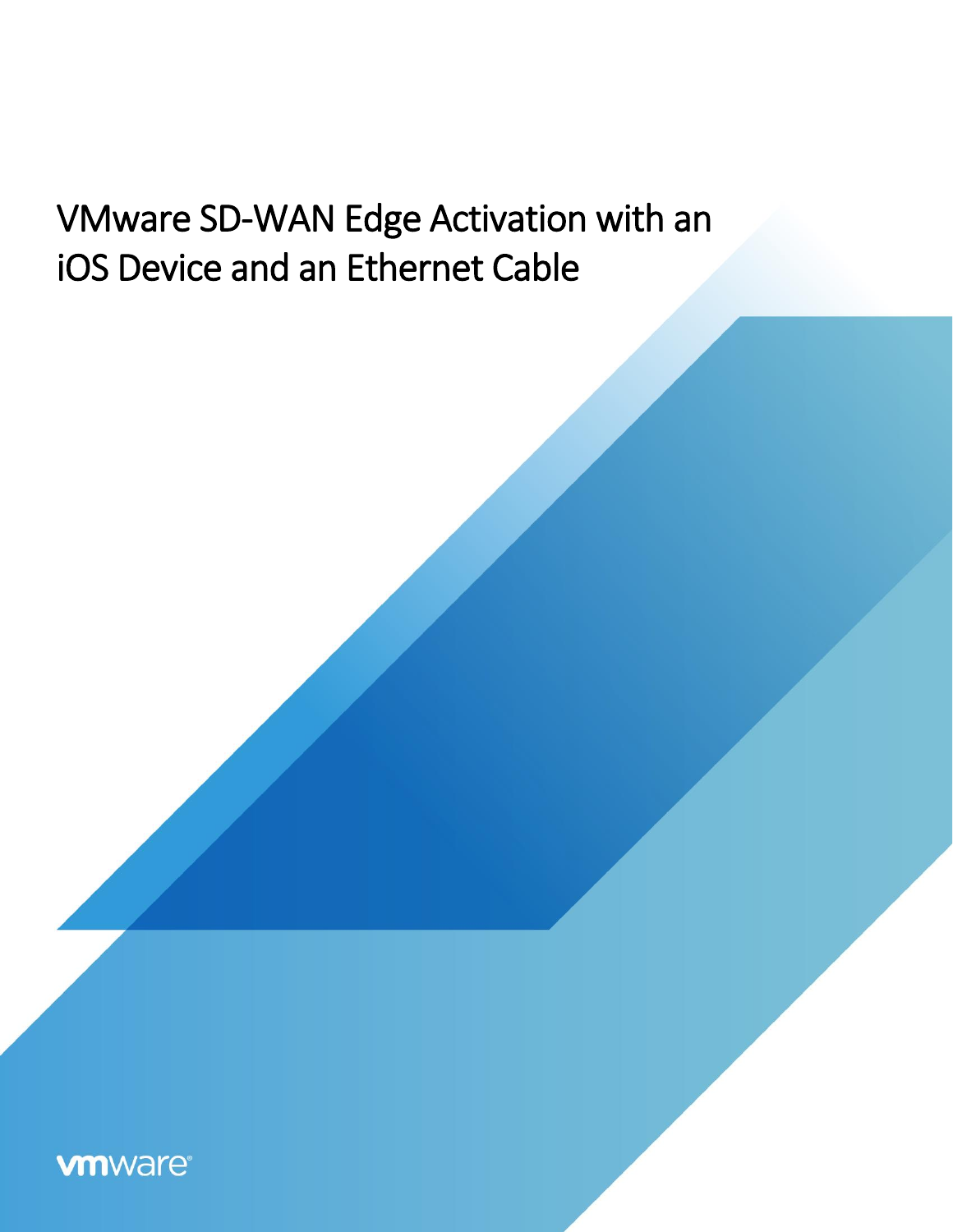# VMware SD-WAN Edge Activation with an iOS Device and an Ethernet Cable

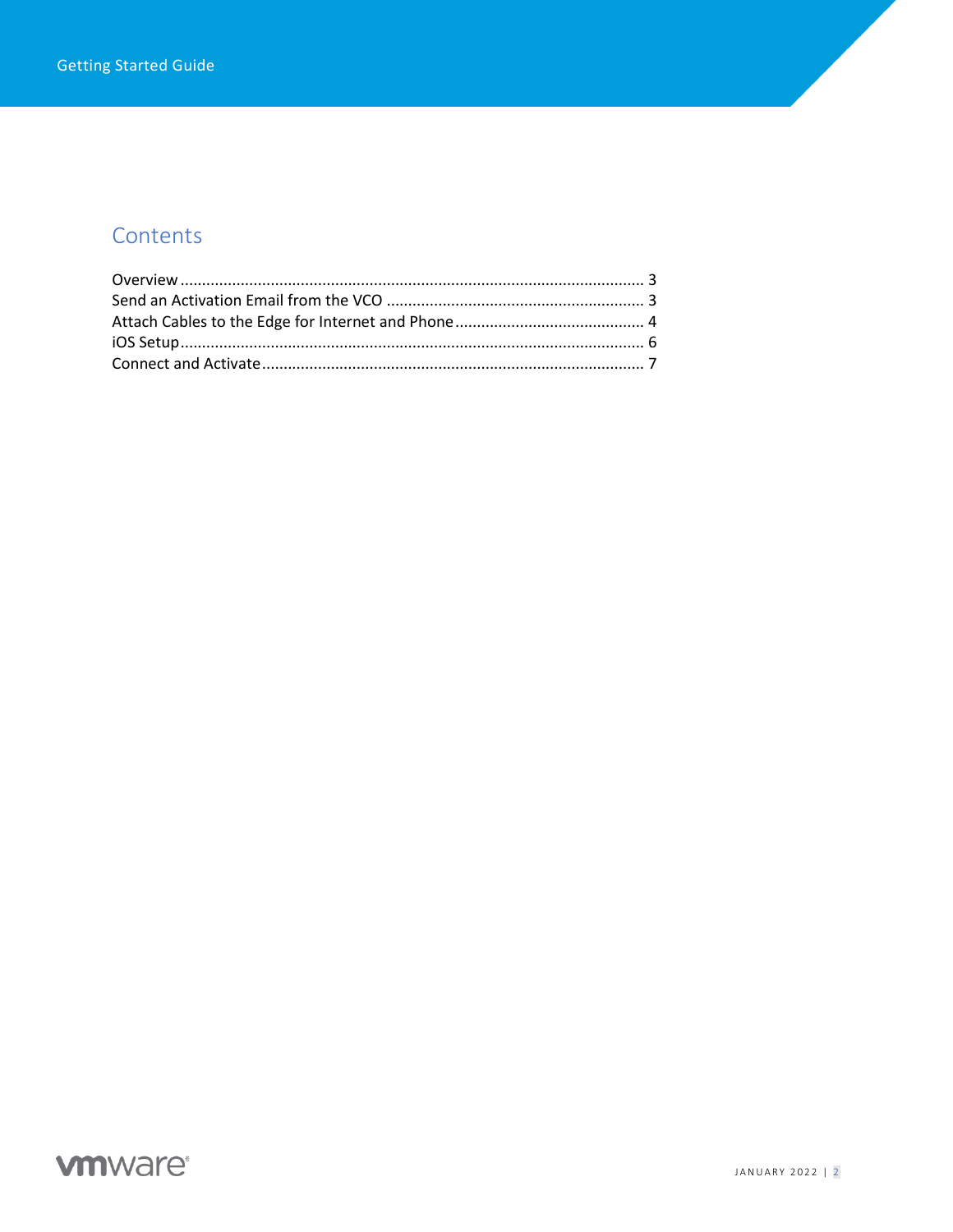### Contents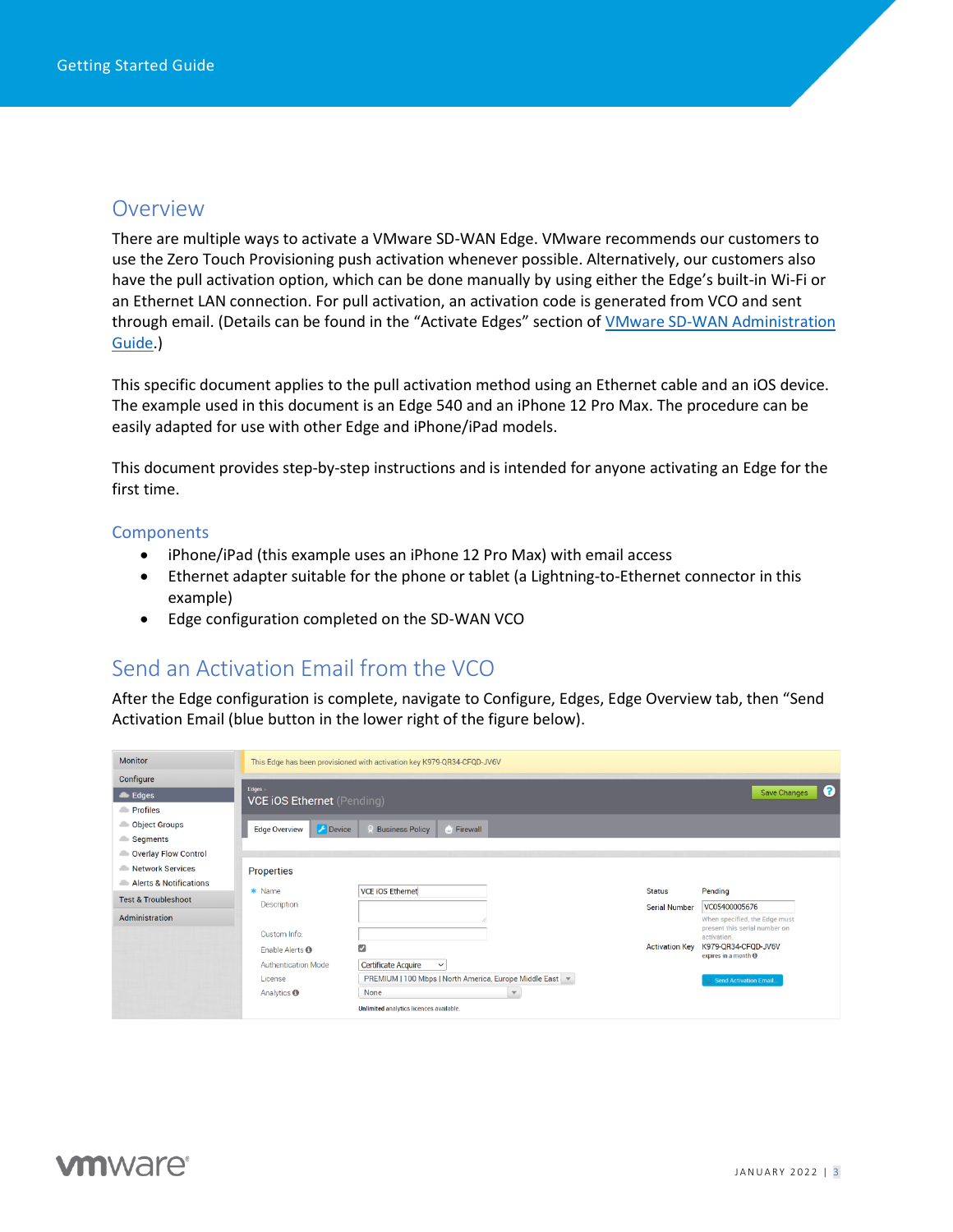#### <span id="page-2-0"></span>Overview

There are multiple ways to activate a VMware SD-WAN Edge. VMware recommends our customers to use the Zero Touch Provisioning push activation whenever possible. Alternatively, our customers also have the pull activation option, which can be done manually by using either the Edge's built-in Wi-Fi or an Ethernet LAN connection. For pull activation, an activation code is generated from VCO and sent through email. (Details can be found in the "Activate Edges" section of VMware SD-WAN Administration [Guide.](https://docs.vmware.com/en/VMware-SD-WAN/3.3/VMware-SD-WAN-by-VeloCloud-Administration-Guide/GUID-D09451A5-B44B-4703-92B5-AB9B0545E02F.html))

This specific document applies to the pull activation method using an Ethernet cable and an iOS device. The example used in this document is an Edge 540 and an iPhone 12 Pro Max. The procedure can be easily adapted for use with other Edge and iPhone/iPad models.

This document provides step-by-step instructions and is intended for anyone activating an Edge for the first time.

#### **Components**

- iPhone/iPad (this example uses an iPhone 12 Pro Max) with email access
- Ethernet adapter suitable for the phone or tablet (a Lightning-to-Ethernet connector in this example)
- Edge configuration completed on the SD-WAN VCO

#### <span id="page-2-1"></span>Send an Activation Email from the VCO

After the Edge configuration is complete, navigate to Configure, Edges, Edge Overview tab, then "Send Activation Email (blue button in the lower right of the figure below).

| <b>Monitor</b>                 | This Edge has been provisioned with activation key K979-QR34-CFQD-JV6V |                                                           |                       |                                                    |  |  |  |  |  |
|--------------------------------|------------------------------------------------------------------------|-----------------------------------------------------------|-----------------------|----------------------------------------------------|--|--|--|--|--|
| Configure                      |                                                                        |                                                           |                       |                                                    |  |  |  |  |  |
| $\triangle$ Edges              | Edges ><br>ℯ<br>Save Changes<br><b>VCE iOS Ethernet</b> (Pending)      |                                                           |                       |                                                    |  |  |  |  |  |
| <b>Profiles</b>                |                                                                        |                                                           |                       |                                                    |  |  |  |  |  |
| <b>Object Groups</b>           | Device<br><b>Edge Overview</b>                                         | <b>Business Policy</b><br><b>C</b> Firewall               |                       |                                                    |  |  |  |  |  |
| Segments                       |                                                                        |                                                           |                       |                                                    |  |  |  |  |  |
| Overlay Flow Control           |                                                                        |                                                           |                       |                                                    |  |  |  |  |  |
| Network Services               | <b>Properties</b>                                                      |                                                           |                       |                                                    |  |  |  |  |  |
| Alerts & Notifications         | * Name                                                                 | VCE IOS Ethernet                                          | <b>Status</b>         | Pending                                            |  |  |  |  |  |
| <b>Test &amp; Troubleshoot</b> | Description                                                            |                                                           | Serial Number         | VC05400005676                                      |  |  |  |  |  |
| <b>Administration</b>          |                                                                        |                                                           |                       | When specified, the Edge must                      |  |  |  |  |  |
|                                | Custom Info:                                                           |                                                           |                       | present this serial number on<br>activation.       |  |  |  |  |  |
|                                | Enable Alerts <sup>O</sup>                                             | $\overline{\mathbf{z}}$                                   | <b>Activation Key</b> | K979-QR34-CFQD-JV6V<br>expires in a month $\Theta$ |  |  |  |  |  |
|                                | <b>Authentication Mode</b>                                             | <b>Certificate Acquire</b><br>$\checkmark$                |                       |                                                    |  |  |  |  |  |
|                                | License                                                                | PREMIUM   100 Mbps   North America, Europe Middle East. v |                       | Send Activation Email.                             |  |  |  |  |  |
|                                | Analytics <b>O</b>                                                     | None                                                      |                       |                                                    |  |  |  |  |  |
|                                |                                                                        | Unlimited analytics licences available.                   |                       |                                                    |  |  |  |  |  |

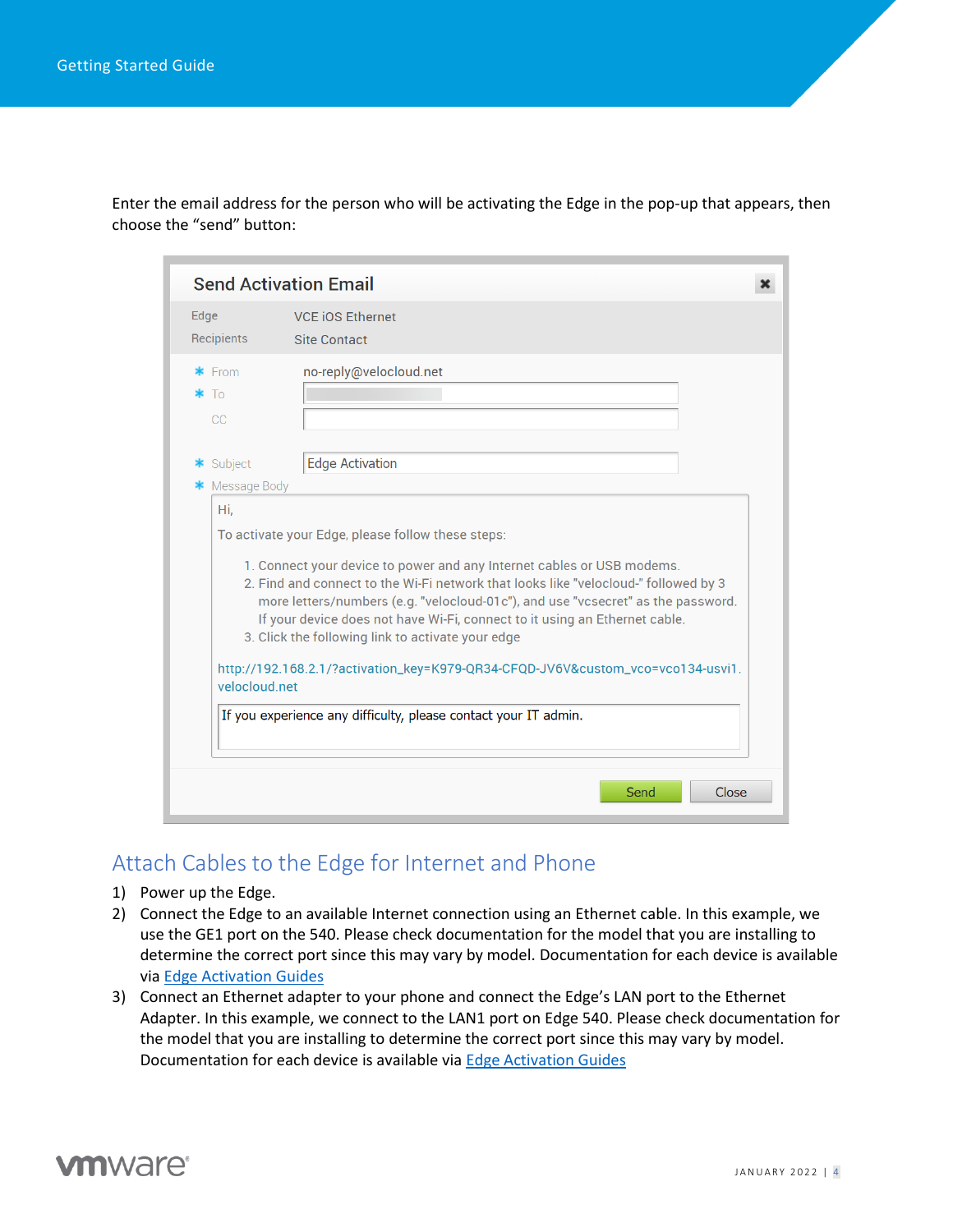Enter the email address for the person who will be activating the Edge in the pop-up that appears, then choose the "send" button:

|                             | <b>Send Activation Email</b>                                                                                                                                                                                                                                                                                                                                                                                                                                                                                                 |
|-----------------------------|------------------------------------------------------------------------------------------------------------------------------------------------------------------------------------------------------------------------------------------------------------------------------------------------------------------------------------------------------------------------------------------------------------------------------------------------------------------------------------------------------------------------------|
| Edge<br>Recipients          | <b>VCE iOS Ethernet</b><br><b>Site Contact</b>                                                                                                                                                                                                                                                                                                                                                                                                                                                                               |
| $*$ From<br>$\ast$ To<br>CC | no-reply@velocloud.net                                                                                                                                                                                                                                                                                                                                                                                                                                                                                                       |
| * Subject<br>Message Body   | <b>Edge Activation</b>                                                                                                                                                                                                                                                                                                                                                                                                                                                                                                       |
| velocloud net               | To activate your Edge, please follow these steps:<br>1. Connect your device to power and any Internet cables or USB modems.<br>2. Find and connect to the Wi-Fi network that looks like "velocloud-" followed by 3<br>more letters/numbers (e.g. "velocloud-01c"), and use "vcsecret" as the password.<br>If your device does not have Wi-Fi, connect to it using an Ethernet cable.<br>3. Click the following link to activate your edge<br>http://192.168.2.1/?activation_key=K979-QR34-CFQD-JV6V&custom_vco=vco134-usvi1. |
|                             | If you experience any difficulty, please contact your IT admin.<br>Close<br>Send                                                                                                                                                                                                                                                                                                                                                                                                                                             |

#### <span id="page-3-0"></span>Attach Cables to the Edge for Internet and Phone

- 1) Power up the Edge.
- 2) Connect the Edge to an available Internet connection using an Ethernet cable. In this example, we use the GE1 port on the 540. Please check documentation for the model that you are installing to determine the correct port since this may vary by model. Documentation for each device is available via [Edge Activation Guides](https://sase.vmware.com/resources?resource=resource-listing-sd-wan%3Aedge-activation-guides)
- 3) Connect an Ethernet adapter to your phone and connect the Edge's LAN port to the Ethernet Adapter. In this example, we connect to the LAN1 port on Edge 540. Please check documentation for the model that you are installing to determine the correct port since this may vary by model. Documentation for each device is available via [Edge Activation Guides](https://sase.vmware.com/resources?resource=resource-listing-sd-wan%3Aedge-activation-guides)

# **vm**ware<sup>®</sup>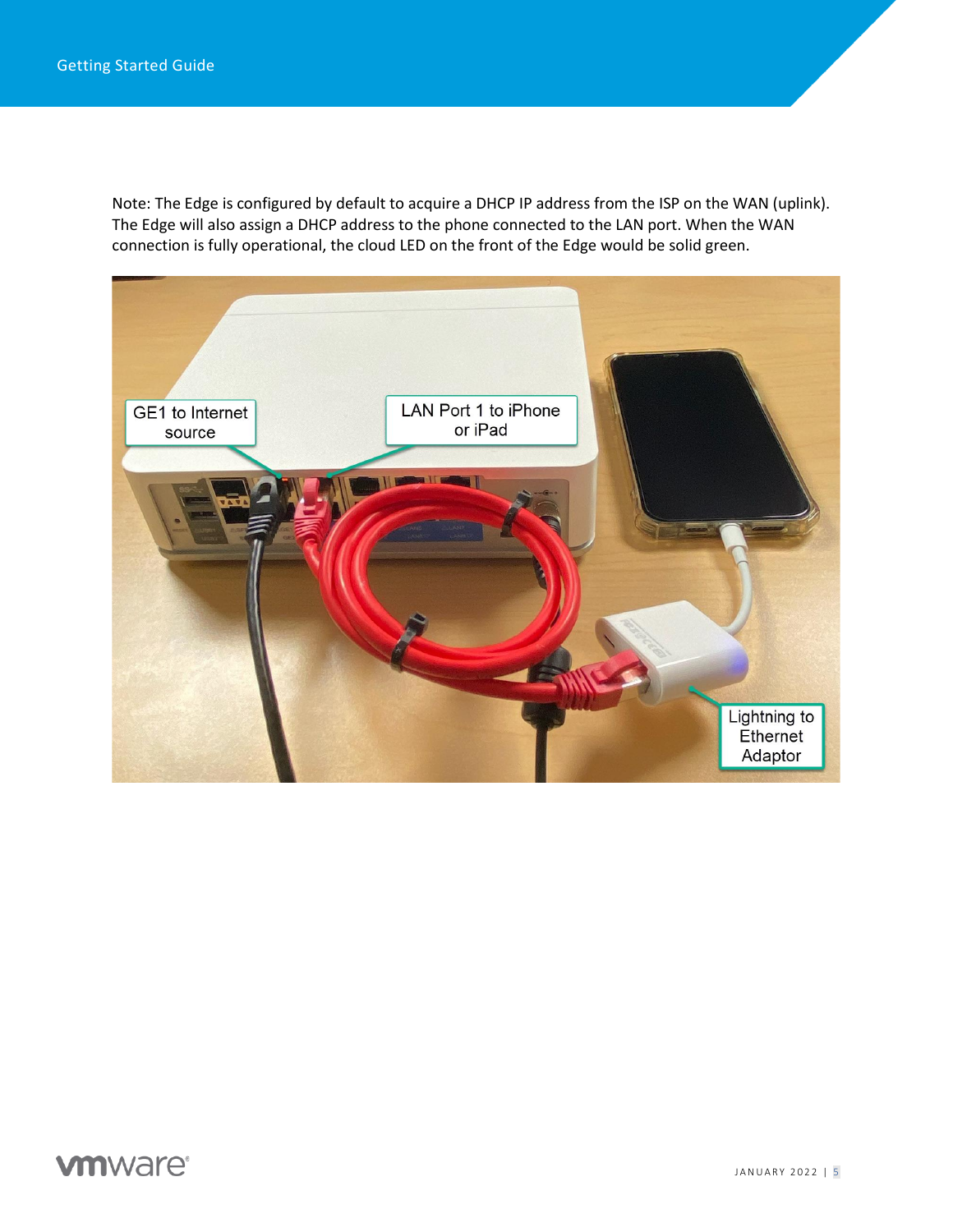Note: The Edge is configured by default to acquire a DHCP IP address from the ISP on the WAN (uplink). The Edge will also assign a DHCP address to the phone connected to the LAN port. When the WAN connection is fully operational, the cloud LED on the front of the Edge would be solid green.

<span id="page-4-0"></span>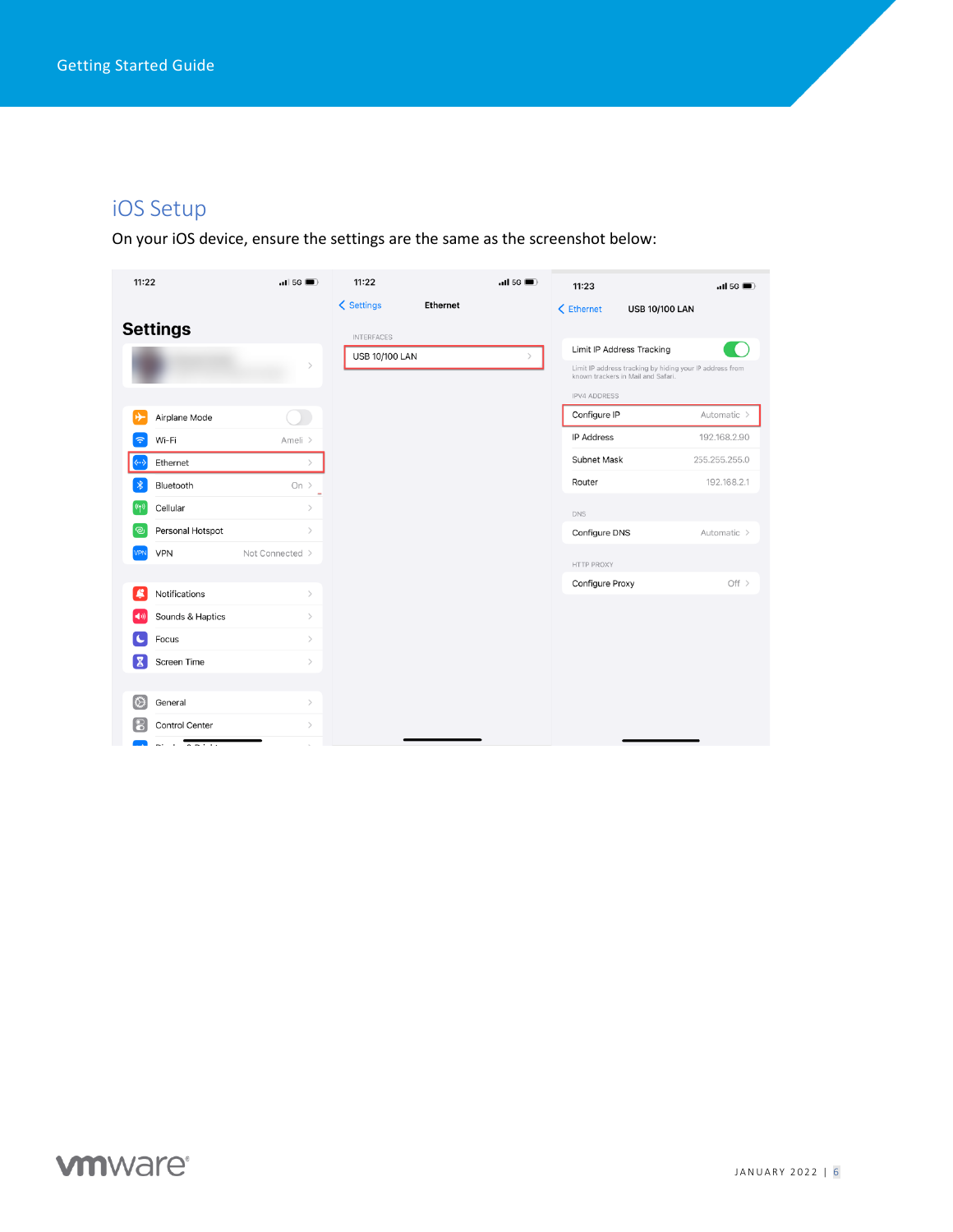# iOS Setup

On your iOS device, ensure the settings are the same as the screenshot below:

<span id="page-5-0"></span>

| 11:22 |                  | .115G           | 11:22                 |          | $\blacksquare$ 11 5G | 11:23                              | .115G                                                    |
|-------|------------------|-----------------|-----------------------|----------|----------------------|------------------------------------|----------------------------------------------------------|
|       |                  |                 | < Settings            | Ethernet |                      | < Ethernet                         | <b>USB 10/100 LAN</b>                                    |
|       | <b>Settings</b>  |                 | <b>INTERFACES</b>     |          |                      |                                    |                                                          |
|       |                  |                 | <b>USB 10/100 LAN</b> |          | $\mathcal{P}$        | Limit IP Address Tracking          |                                                          |
|       |                  | $\,$            |                       |          |                      | known trackers in Mail and Safari. | Limit IP address tracking by hiding your IP address from |
|       |                  |                 |                       |          |                      | <b>IPV4 ADDRESS</b>                |                                                          |
|       | Airplane Mode    |                 |                       |          |                      | Configure IP                       | Automatic >                                              |
| \$    | Wi-Fi            | Ameli >         |                       |          |                      | <b>IP Address</b>                  | 192.168.2.90                                             |
|       | Ethernet         | $\mathcal{L}$   |                       |          |                      | <b>Subnet Mask</b>                 | 255.255.255.0                                            |
|       | Bluetooth        | On $>$          |                       |          |                      | Router                             | 192.168.2.1                                              |
|       | Cellular         | $\,$            |                       |          |                      | <b>DNS</b>                         |                                                          |
| ම     | Personal Hotspot | $\,$            |                       |          |                      | Configure DNS                      | Automatic $\geq$                                         |
|       | VPN              | Not Connected > |                       |          |                      | <b>HTTP PROXY</b>                  |                                                          |
|       |                  |                 |                       |          |                      | Configure Proxy                    | Off $>$                                                  |
| £     | Notifications    | $\rightarrow$   |                       |          |                      |                                    |                                                          |
|       | Sounds & Haptics | $\,>$           |                       |          |                      |                                    |                                                          |
|       | Focus            | $\,>$           |                       |          |                      |                                    |                                                          |
| 居     | Screen Time      | $\,$            |                       |          |                      |                                    |                                                          |
|       |                  |                 |                       |          |                      |                                    |                                                          |
| IØ)   | General          | $\rightarrow$   |                       |          |                      |                                    |                                                          |
|       | Control Center   | $\,>$           |                       |          |                      |                                    |                                                          |
|       | $- - - - - -$    |                 |                       |          |                      |                                    |                                                          |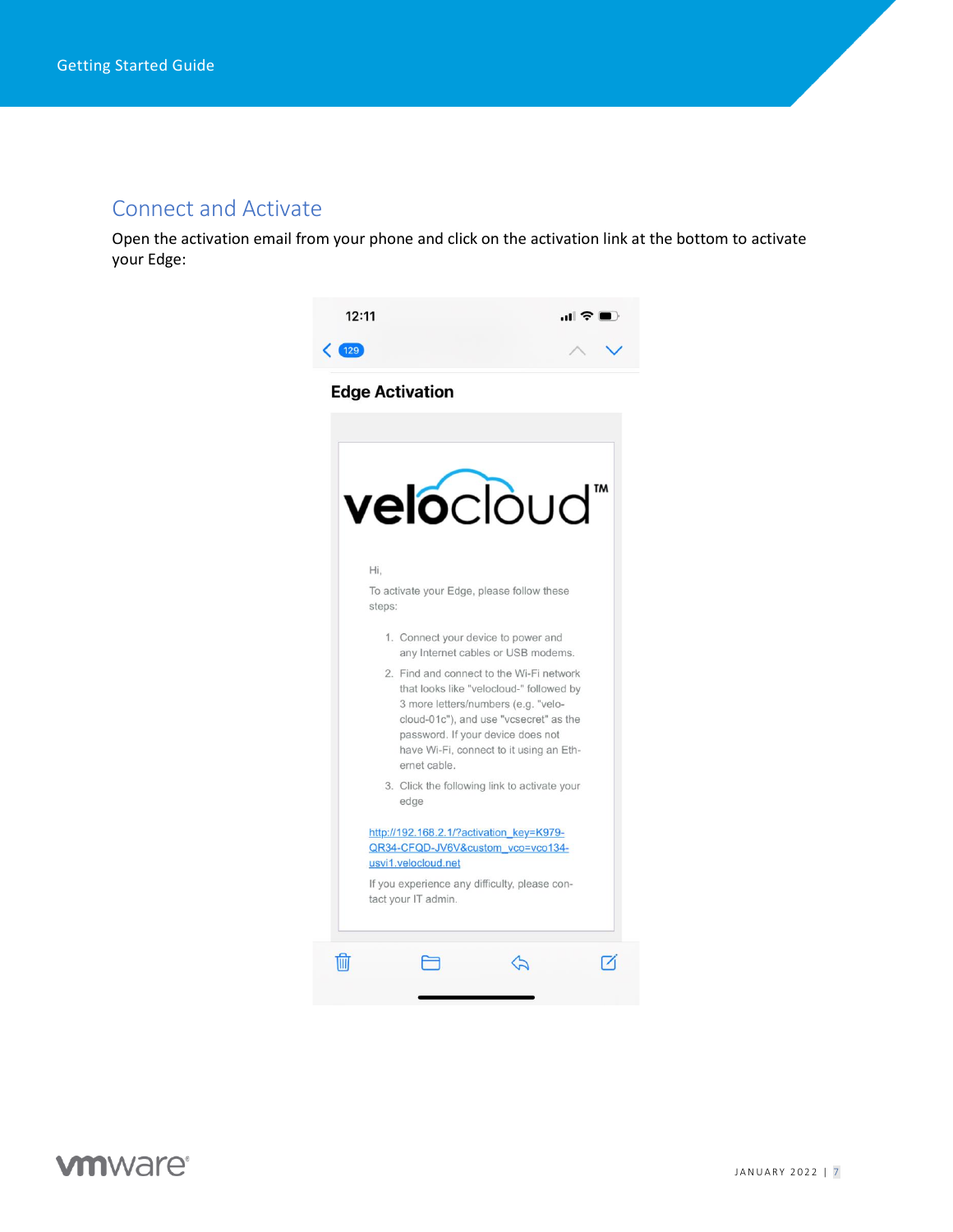#### Connect and Activate

Open the activation email from your phone and click on the activation link at the bottom to activate your Edge:



# **vm**ware<sup>®</sup>